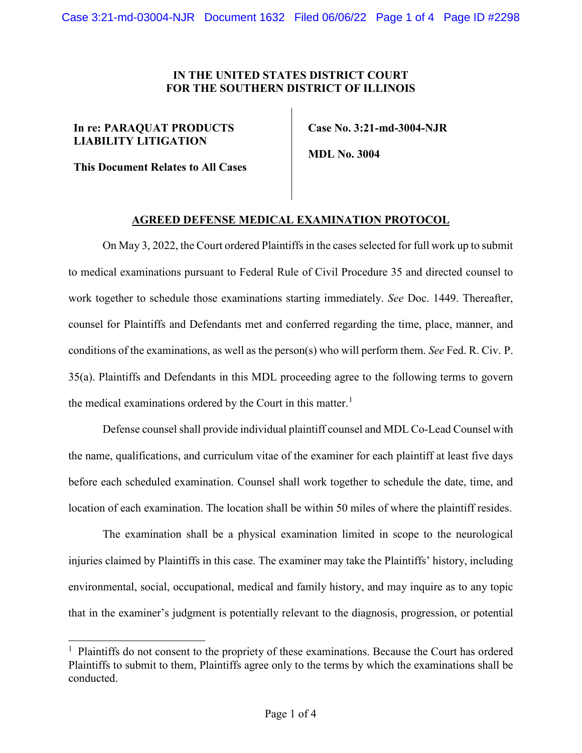## **IN THE UNITED STATES DISTRICT COURT FOR THE SOUTHERN DISTRICT OF ILLINOIS**

## **In re: PARAQUAT PRODUCTS LIABILITY LITIGATION**

**This Document Relates to All Cases**

 **Case No. 3:21-md-3004-NJR**

 **MDL No. 3004**

## **AGREED DEFENSE MEDICAL EXAMINATION PROTOCOL**

On May 3, 2022, the Court ordered Plaintiffs in the cases selected for full work up to submit to medical examinations pursuant to Federal Rule of Civil Procedure 35 and directed counsel to work together to schedule those examinations starting immediately. *See* Doc. 1449. Thereafter, counsel for Plaintiffs and Defendants met and conferred regarding the time, place, manner, and conditions of the examinations, as well as the person(s) who will perform them. *See* Fed. R. Civ. P. 35(a). Plaintiffs and Defendants in this MDL proceeding agree to the following terms to govern the medical examinations ordered by the Court in this matter.<sup>[1](#page-0-0)</sup>

Defense counsel shall provide individual plaintiff counsel and MDL Co-Lead Counsel with the name, qualifications, and curriculum vitae of the examiner for each plaintiff at least five days before each scheduled examination. Counsel shall work together to schedule the date, time, and location of each examination. The location shall be within 50 miles of where the plaintiff resides.

The examination shall be a physical examination limited in scope to the neurological injuries claimed by Plaintiffs in this case. The examiner may take the Plaintiffs' history, including environmental, social, occupational, medical and family history, and may inquire as to any topic that in the examiner's judgment is potentially relevant to the diagnosis, progression, or potential

<span id="page-0-0"></span> $<sup>1</sup>$  Plaintiffs do not consent to the propriety of these examinations. Because the Court has ordered</sup> Plaintiffs to submit to them, Plaintiffs agree only to the terms by which the examinations shall be conducted.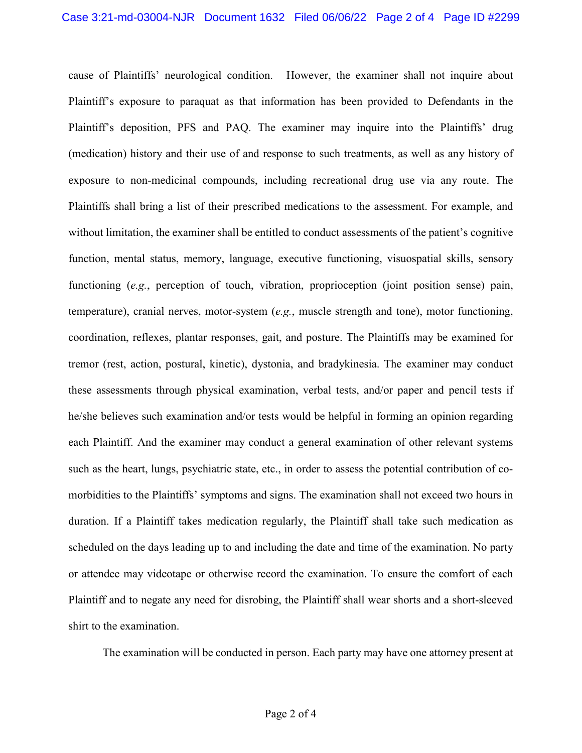cause of Plaintiffs' neurological condition. However, the examiner shall not inquire about Plaintiff's exposure to paraquat as that information has been provided to Defendants in the Plaintiff's deposition, PFS and PAQ. The examiner may inquire into the Plaintiffs' drug (medication) history and their use of and response to such treatments, as well as any history of exposure to non-medicinal compounds, including recreational drug use via any route. The Plaintiffs shall bring a list of their prescribed medications to the assessment. For example, and without limitation, the examiner shall be entitled to conduct assessments of the patient's cognitive function, mental status, memory, language, executive functioning, visuospatial skills, sensory functioning (*e.g.*, perception of touch, vibration, proprioception (joint position sense) pain, temperature), cranial nerves, motor-system (*e.g.*, muscle strength and tone), motor functioning, coordination, reflexes, plantar responses, gait, and posture. The Plaintiffs may be examined for tremor (rest, action, postural, kinetic), dystonia, and bradykinesia. The examiner may conduct these assessments through physical examination, verbal tests, and/or paper and pencil tests if he/she believes such examination and/or tests would be helpful in forming an opinion regarding each Plaintiff. And the examiner may conduct a general examination of other relevant systems such as the heart, lungs, psychiatric state, etc., in order to assess the potential contribution of comorbidities to the Plaintiffs' symptoms and signs. The examination shall not exceed two hours in duration. If a Plaintiff takes medication regularly, the Plaintiff shall take such medication as scheduled on the days leading up to and including the date and time of the examination. No party or attendee may videotape or otherwise record the examination. To ensure the comfort of each Plaintiff and to negate any need for disrobing, the Plaintiff shall wear shorts and a short-sleeved shirt to the examination.

The examination will be conducted in person. Each party may have one attorney present at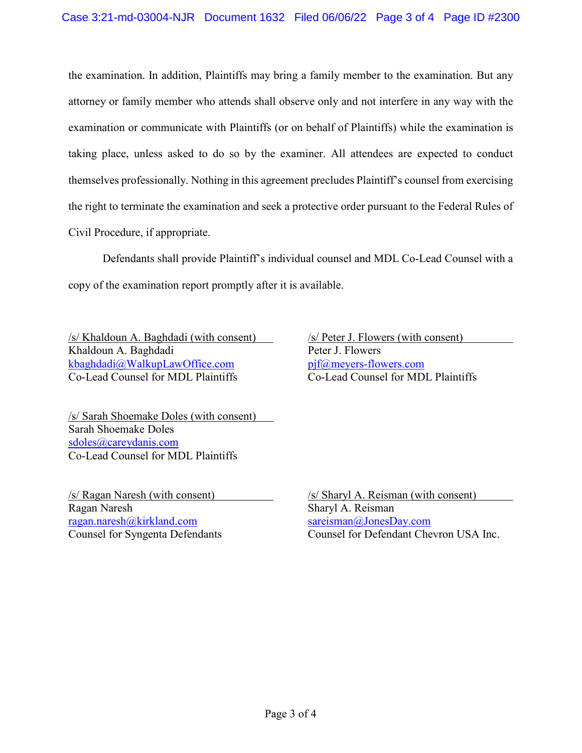the examination. In addition, Plaintiffs may bring a family member to the examination. But any attorney or family member who attends shall observe only and not interfere in any way with the examination or communicate with Plaintiffs (or on behalf of Plaintiffs) while the examination is taking place, unless asked to do so by the examiner. All attendees are expected to conduct themselves professionally. Nothing in this agreement precludes Plaintiff's counsel from exercising the right to terminate the examination and seek a protective order pursuant to the Federal Rules of Civil Procedure, if appropriate.

Defendants shall provide Plaintiff's individual counsel and MDL Co-Lead Counsel with a copy of the examination report promptly after it is available.

/s/ Khaldoun A. Baghdadi (with consent) /s/ Peter J. Flowers (with consent) Khaldoun A. Baghdadi Peter J. Flowers [kbaghdadi@WalkupLawOffice.com](mailto:kbaghdadi@WalkupLawOffice.com) [pjf@meyers-flowers.com](mailto:pjf@meyers-flowers.com)<br>Co-Lead Counsel for MDL Plaintiffs Co-Lead Counsel for MDL Plaintiffs Co-Lead Counsel for MDL Plaintiffs Co-Lead Counsel for MDL Plaintiffs

/s/ Sarah Shoemake Doles (with consent) Sarah Shoemake Doles [sdoles@careydanis.com](mailto:sdoles@careydanis.com) Co-Lead Counsel for MDL Plaintiffs

Ragan Naresh Sharyl A. Reisman [ragan.naresh@kirkland.com](mailto:ragan.naresh@kirkland.com) [sareisman@JonesDay.com](mailto:sareisman@JonesDay.com)

/s/ Ragan Naresh (with consent) /s/ Sharyl A. Reisman (with consent) Counsel for Syngenta Defendants Counsel for Defendant Chevron USA Inc.